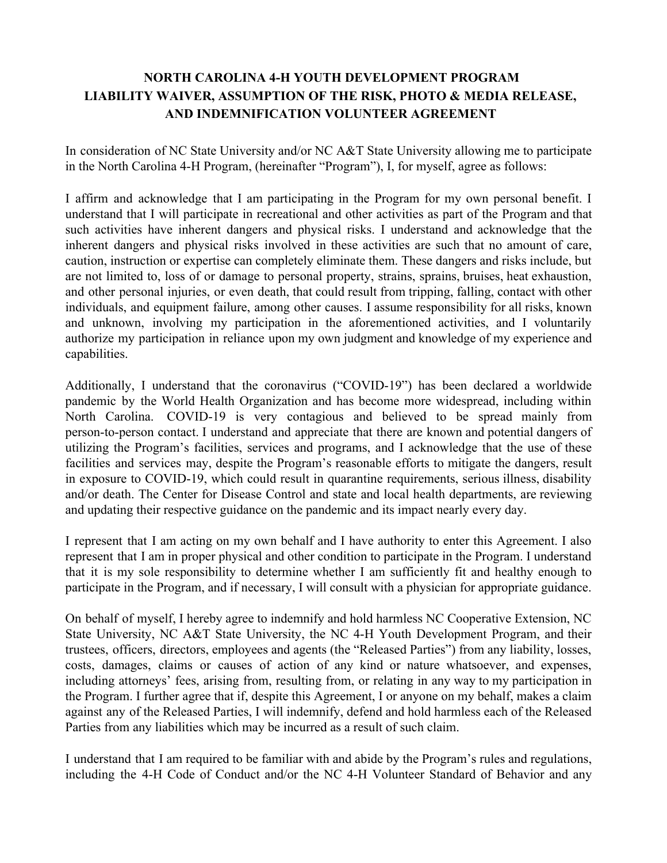# **NORTH CAROLINA 4-H YOUTH DEVELOPMENT PROGRAM LIABILITY WAIVER, ASSUMPTION OF THE RISK, PHOTO & MEDIA RELEASE, AND INDEMNIFICATION VOLUNTEER AGREEMENT**

In consideration of NC State University and/or NC A&T State University allowing me to participate in the North Carolina 4-H Program, (hereinafter "Program"), I, for myself, agree as follows:

I affirm and acknowledge that I am participating in the Program for my own personal benefit. I understand that I will participate in recreational and other activities as part of the Program and that such activities have inherent dangers and physical risks. I understand and acknowledge that the inherent dangers and physical risks involved in these activities are such that no amount of care, caution, instruction or expertise can completely eliminate them. These dangers and risks include, but are not limited to, loss of or damage to personal property, strains, sprains, bruises, heat exhaustion, and other personal injuries, or even death, that could result from tripping, falling, contact with other individuals, and equipment failure, among other causes. I assume responsibility for all risks, known and unknown, involving my participation in the aforementioned activities, and I voluntarily authorize my participation in reliance upon my own judgment and knowledge of my experience and capabilities.

Additionally, I understand that the coronavirus ("COVID-19") has been declared a worldwide pandemic by the World Health Organization and has become more widespread, including within North Carolina. COVID-19 is very contagious and believed to be spread mainly from person-to-person contact. I understand and appreciate that there are known and potential dangers of utilizing the Program's facilities, services and programs, and I acknowledge that the use of these facilities and services may, despite the Program's reasonable efforts to mitigate the dangers, result in exposure to COVID-19, which could result in quarantine requirements, serious illness, disability and/or death. The Center for Disease Control and state and local health departments, are reviewing and updating their respective guidance on the pandemic and its impact nearly every day.

I represent that I am acting on my own behalf and I have authority to enter this Agreement. I also represent that I am in proper physical and other condition to participate in the Program. I understand that it is my sole responsibility to determine whether I am sufficiently fit and healthy enough to participate in the Program, and if necessary, I will consult with a physician for appropriate guidance.

On behalf of myself, I hereby agree to indemnify and hold harmless NC Cooperative Extension, NC State University, NC A&T State University, the NC 4-H Youth Development Program, and their trustees, officers, directors, employees and agents (the "Released Parties") from any liability, losses, costs, damages, claims or causes of action of any kind or nature whatsoever, and expenses, including attorneys' fees, arising from, resulting from, or relating in any way to my participation in the Program. I further agree that if, despite this Agreement, I or anyone on my behalf, makes a claim against any of the Released Parties, I will indemnify, defend and hold harmless each of the Released Parties from any liabilities which may be incurred as a result of such claim.

I understand that I am required to be familiar with and abide by the Program's rules and regulations, including the 4-H Code of Conduct and/or the NC 4-H Volunteer Standard of Behavior and any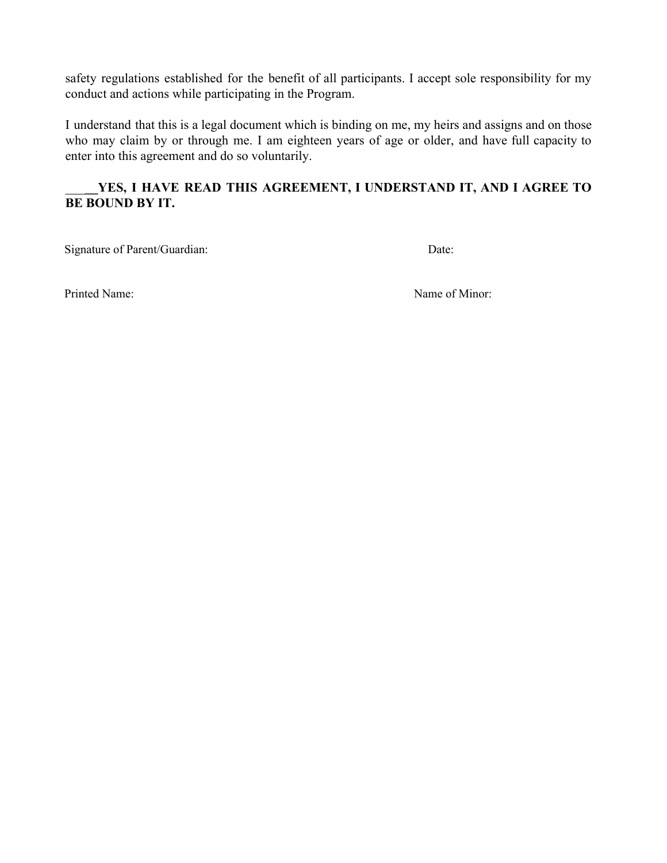safety regulations established for the benefit of all participants. I accept sole responsibility for my conduct and actions while participating in the Program.

I understand that this is a legal document which is binding on me, my heirs and assigns and on those who may claim by or through me. I am eighteen years of age or older, and have full capacity to enter into this agreement and do so voluntarily.

## \_\_\_**\_\_YES, I HAVE READ THIS AGREEMENT, I UNDERSTAND IT, AND I AGREE TO BE BOUND BY IT.**

Signature of Parent/Guardian: Date:

Printed Name: Name of Minor: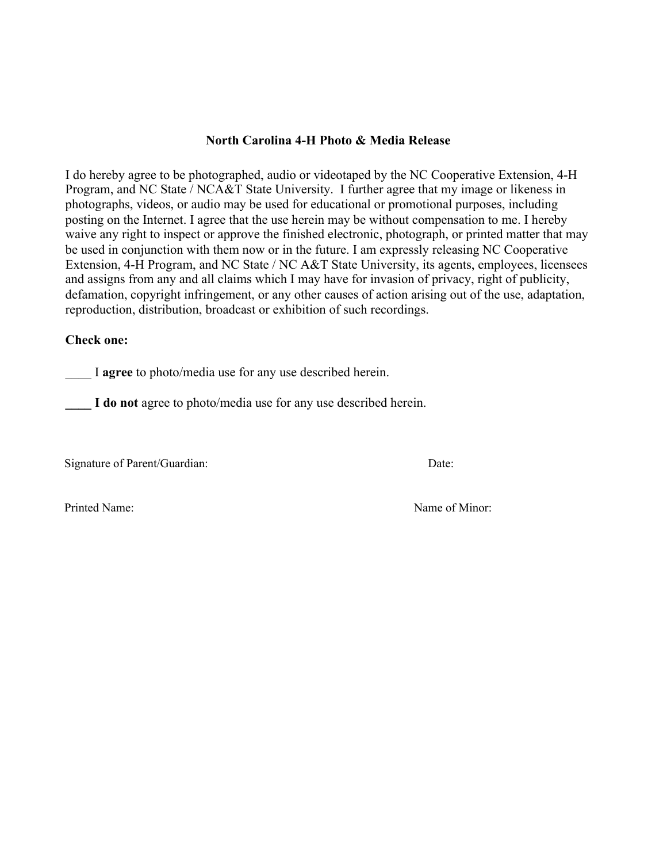#### **North Carolina 4-H Photo & Media Release**

I do hereby agree to be photographed, audio or videotaped by the NC Cooperative Extension, 4-H Program, and NC State / NCA&T State University. I further agree that my image or likeness in photographs, videos, or audio may be used for educational or promotional purposes, including posting on the Internet. I agree that the use herein may be without compensation to me. I hereby waive any right to inspect or approve the finished electronic, photograph, or printed matter that may be used in conjunction with them now or in the future. I am expressly releasing NC Cooperative Extension, 4-H Program, and NC State / NC A&T State University, its agents, employees, licensees and assigns from any and all claims which I may have for invasion of privacy, right of publicity, defamation, copyright infringement, or any other causes of action arising out of the use, adaptation, reproduction, distribution, broadcast or exhibition of such recordings.

### **Check one:**

\_\_\_\_ I **agree** to photo/media use for any use described herein.

**\_\_\_\_ I do not** agree to photo/media use for any use described herein.

Signature of Parent/Guardian: Date:

Printed Name: Name of Minor: Name of Minor: Name of Minor: Name of Minor: Name of Minor: Name of Minor: Name of Minor: Name of Minor: Name of Minor: Name of Minor: Name of Minor: Name of Minor: Name of Minor: Name of Minor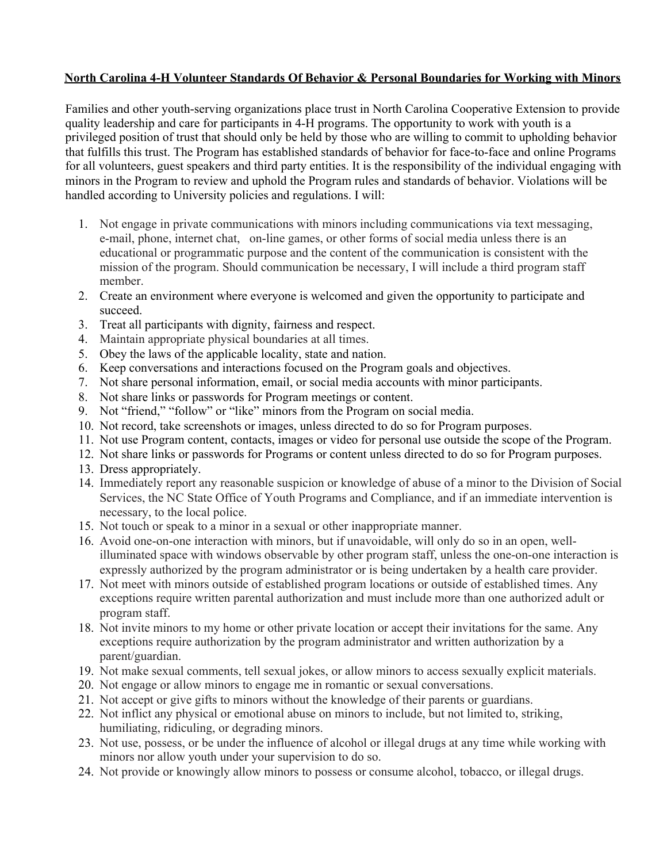### **North Carolina 4-H Volunteer Standards Of Behavior & Personal Boundaries for Working with Minors**

Families and other youth-serving organizations place trust in North Carolina Cooperative Extension to provide quality leadership and care for participants in 4-H programs. The opportunity to work with youth is a privileged position of trust that should only be held by those who are willing to commit to upholding behavior that fulfills this trust. The Program has established standards of behavior for face-to-face and online Programs for all volunteers, guest speakers and third party entities. It is the responsibility of the individual engaging with minors in the Program to review and uphold the Program rules and standards of behavior. Violations will be handled according to University policies and regulations. I will:

- 1. Not engage in private communications with minors including communications via text messaging, e-mail, phone, internet chat, on-line games, or other forms of social media unless there is an educational or programmatic purpose and the content of the communication is consistent with the mission of the program. Should communication be necessary, I will include a third program staff member.
- 2. Create an environment where everyone is welcomed and given the opportunity to participate and succeed.
- 3. Treat all participants with dignity, fairness and respect.
- 4. Maintain appropriate physical boundaries at all times.
- 5. Obey the laws of the applicable locality, state and nation.
- 6. Keep conversations and interactions focused on the Program goals and objectives.
- 7. Not share personal information, email, or social media accounts with minor participants.
- 8. Not share links or passwords for Program meetings or content.
- 9. Not "friend," "follow" or "like" minors from the Program on social media.
- 10. Not record, take screenshots or images, unless directed to do so for Program purposes.
- 11. Not use Program content, contacts, images or video for personal use outside the scope of the Program.
- 12. Not share links or passwords for Programs or content unless directed to do so for Program purposes.
- 13. Dress appropriately.
- 14. Immediately report any reasonable suspicion or knowledge of abuse of a minor to the Division of Social Services, the NC State Office of Youth Programs and Compliance, and if an immediate intervention is necessary, to the local police.
- 15. Not touch or speak to a minor in a sexual or other inappropriate manner.
- 16. Avoid one-on-one interaction with minors, but if unavoidable, will only do so in an open, wellilluminated space with windows observable by other program staff, unless the one-on-one interaction is expressly authorized by the program administrator or is being undertaken by a health care provider.
- 17. Not meet with minors outside of established program locations or outside of established times. Any exceptions require written parental authorization and must include more than one authorized adult or program staff.
- 18. Not invite minors to my home or other private location or accept their invitations for the same. Any exceptions require authorization by the program administrator and written authorization by a parent/guardian.
- 19. Not make sexual comments, tell sexual jokes, or allow minors to access sexually explicit materials.
- 20. Not engage or allow minors to engage me in romantic or sexual conversations.
- 21. Not accept or give gifts to minors without the knowledge of their parents or guardians.
- 22. Not inflict any physical or emotional abuse on minors to include, but not limited to, striking, humiliating, ridiculing, or degrading minors.
- 23. Not use, possess, or be under the influence of alcohol or illegal drugs at any time while working with minors nor allow youth under your supervision to do so.
- 24. Not provide or knowingly allow minors to possess or consume alcohol, tobacco, or illegal drugs.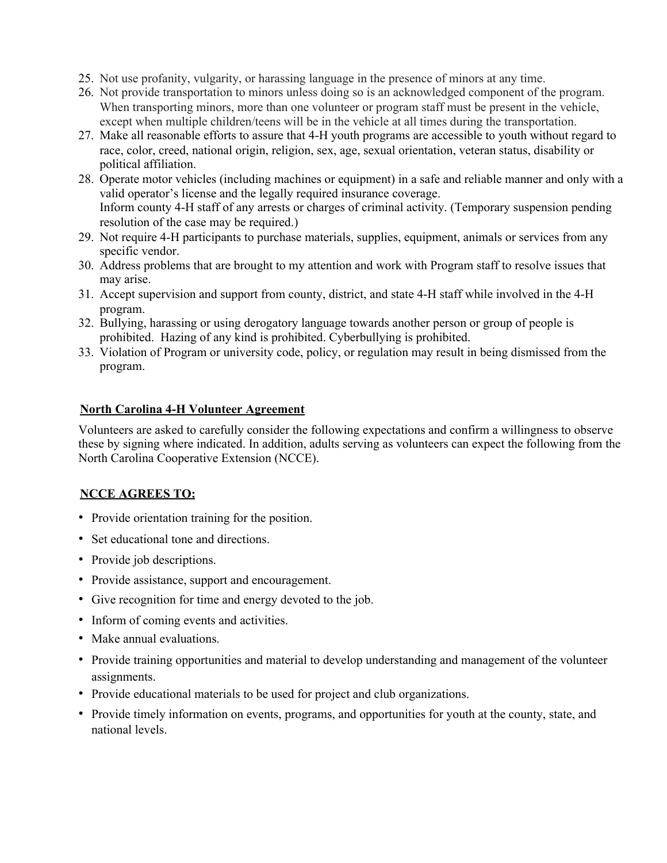- 25. Not use profanity, vulgarity, or harassing language in the presence of minors at any time.
- 26. Not provide transportation to minors unless doing so is an acknowledged component of the program. When transporting minors, more than one volunteer or program staff must be present in the vehicle, except when multiple children/teens will be in the vehicle at all times during the transportation.
- 27. Make all reasonable efforts to assure that 4-H youth programs are accessible to youth without regard to race, color, creed, national origin, religion, sex, age, sexual orientation, veteran status, disability or political affiliation.
- 28. Operate motor vehicles (including machines or equipment) in a safe and reliable manner and only with a valid operator's license and the legally required insurance coverage. Inform county 4-H staff of any arrests or charges of criminal activity. (Temporary suspension pending resolution of the case may be required.)
- 29. Not require 4-H participants to purchase materials, supplies, equipment, animals or services from any specific vendor.
- 30. Address problems that are brought to my attention and work with Program staff to resolve issues that may arise.
- 31. Accept supervision and support from county, district, and state 4-H staff while involved in the 4-H program.
- 32. Bullying, harassing or using derogatory language towards another person or group of people is prohibited. Hazing of any kind is prohibited. Cyberbullying is prohibited.
- 33. Violation of Program or university code, policy, or regulation may result in being dismissed from the program.

### **North Carolina 4-H Volunteer Agreement**

Volunteers are asked to carefully consider the following expectations and confirm a willingness to observe these by signing where indicated. In addition, adults serving as volunteers can expect the following from the North Carolina Cooperative Extension (NCCE).

### **NCCE AGREES TO:**

- Provide orientation training for the position.
- Set educational tone and directions.
- Provide job descriptions.
- Provide assistance, support and encouragement.
- Give recognition for time and energy devoted to the job.
- Inform of coming events and activities.
- Make annual evaluations.
- Provide training opportunities and material to develop understanding and management of the volunteer assignments.
- Provide educational materials to be used for project and club organizations.
- Provide timely information on events, programs, and opportunities for youth at the county, state, and national levels.